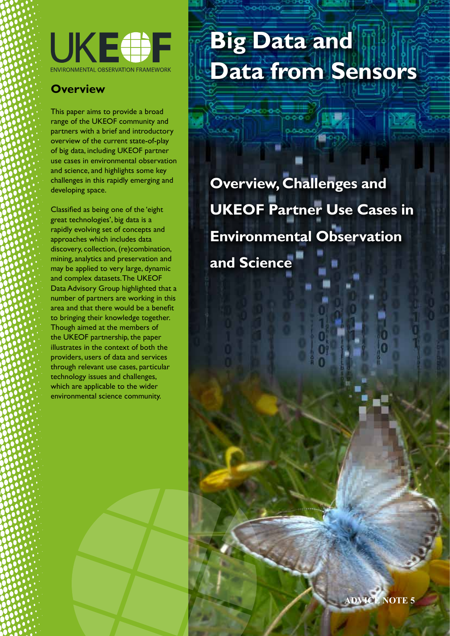

# **Overview**

This paper aims to provide a broad range of the UKEOF community and partners with a brief and introductory overview of the current state-of-play of big data, including UKEOF partner use cases in environmental observation and science, and highlights some key challenges in this rapidly emerging and developing space.

Classified as being one of the 'eight great technologies', big data is a rapidly evolving set of concepts and approaches which includes data discovery, collection, (re)combination, mining, analytics and preservation and may be applied to very large, dynamic and complex datasets. The UKEOF Data Advisory Group highlighted that a number of partners are working in this area and that there would be a benefit to bringing their knowledge together. Though aimed at the members of the UKEOF partnership, the paper illustrates in the context of both the providers, users of data and services through relevant use cases, particular technology issues and challenges, which are applicable to the wider environmental science community.

# **Big Data and Data from Sensors**

**Overview, Challenges and UKEOF Partner Use Cases in Environmental Observation and Science**

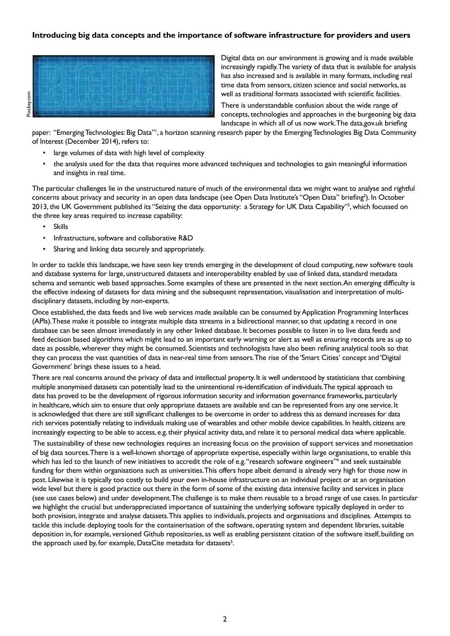# **Introducing big data concepts and the importance of software infrastructure for providers and users**



Digital data on our environment is growing and is made available increasingly rapidly. The variety of data that is available for analysis has also increased and is available in many formats, including real time data from sensors, citizen science and social networks, as well as traditional formats associated with scientific facilities.

There is understandable confusion about the wide range of concepts, technologies and approaches in the burgeoning big data landscape in which all of us now work. The data.gov.uk briefing

paper: "Emerging Technologies: Big Data"<sup>1</sup>, a horizon scanning research paper by the Emerging Technologies Big Data Community of Interest (December 2014), refers to:

- large volumes of data with high level of complexity
- the analysis used for the data that requires more advanced techniques and technologies to gain meaningful information and insights in real time.

The particular challenges lie in the unstructured nature of much of the environmental data we might want to analyse and rightful concerns about privacy and security in an open data landscape (see Open Data Institute's "Open Data" briefing?). In October 2013, the UK Government published its "Seizing the data opportunity: a Strategy for UK Data Capability"3 , which focussed on the three key areas required to increase capability:

- Skills
- Infrastructure, software and collaborative R&D
- Sharing and linking data securely and appropriately.

In order to tackle this landscape, we have seen key trends emerging in the development of cloud computing, new software tools and database systems for large, unstructured datasets and interoperability enabled by use of linked data, standard metadata schema and semantic web based approaches. Some examples of these are presented in the next section. An emerging difficulty is the effective indexing of datasets for data mining and the subsequent representation, visualisation and interpretation of multidisciplinary datasets, including by non-experts.

Once established, the data feeds and live web services made available can be consumed by Application Programming Interfaces (APIs). These make it possible to integrate multiple data streams in a bidirectional manner, so that updating a record in one database can be seen almost immediately in any other linked database. It becomes possible to listen in to live data feeds and feed decision based algorithms which might lead to an important early warning or alert as well as ensuring records are as up to date as possible, wherever they might be consumed. Scientists and technologists have also been refining analytical tools so that they can process the vast quantities of data in near-real time from sensors. The rise of the 'Smart Cities' concept and 'Digital Government' brings these issues to a head.

There are real concerns around the privacy of data and intellectual property. It is well understood by statisticians that combining multiple anonymised datasets can potentially lead to the unintentional re-identification of individuals. The typical approach to date has proved to be the development of rigorous information security and information governance frameworks, particularly in healthcare, which aim to ensure that only appropriate datasets are available and can be represented from any one service. It is acknowledged that there are still significant challenges to be overcome in order to address this as demand increases for data rich services potentially relating to individuals making use of wearables and other mobile device capabilities. In health, citizens are increasingly expecting to be able to access, e.g. their physical activity data, and relate it to personal medical data where applicable.

 The sustainability of these new technologies requires an increasing focus on the provision of support services and monetisation of big data sources. There is a well-known shortage of appropriate expertise, especially within large organisations, to enable this which has led to the launch of new initiatives to accredit the role of e.g. "research software engineers"4 and seek sustainable funding for them within organisations such as universities. This offers hope albeit demand is already very high for those now in post. Likewise it is typically too costly to build your own in-house infrastructure on an individual project or at an organisation wide level but there is good practice out there in the form of some of the existing data intensive facility and services in place (see use cases below) and under development. The challenge is to make them reusable to a broad range of use cases. In particular we highlight the crucial but underappreciated importance of sustaining the underlying software typically deployed in order to both provision, integrate and analyse datasets. This applies to individuals, projects and organisations and disciplines. Attempts to tackle this include deploying tools for the containerisation of the software, operating system and dependent libraries, suitable deposition in, for example, versioned Github repositories, as well as enabling persistent citation of the software itself, building on the approach used by, for example, DataCite metadata for datasets<sup>5</sup>.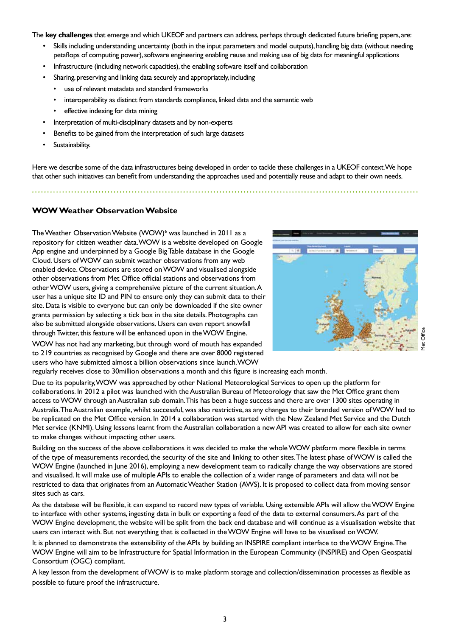The **key challenges** that emerge and which UKEOF and partners can address, perhaps through dedicated future briefing papers, are:

- Skills including understanding uncertainty (both in the input parameters and model outputs), handling big data (without needing petaflops of computing power), software engineering enabling reuse and making use of big data for meaningful applications
- Infrastructure (including network capacities), the enabling software itself and collaboration
- Sharing, preserving and linking data securely and appropriately, including
	- use of relevant metadata and standard frameworks
	- interoperability as distinct from standards compliance, linked data and the semantic web
	- effective indexing for data mining
- Interpretation of multi-disciplinary datasets and by non-experts
- Benefits to be gained from the interpretation of such large datasets
- Sustainability.

Here we describe some of the data infrastructures being developed in order to tackle these challenges in a UKEOF context. We hope that other such initiatives can benefit from understanding the approaches used and potentially reuse and adapt to their own needs.

# **WOW Weather Observation Website**

The Weather Observation Website (WOW)<sup>6</sup> was launched in 2011 as a repository for citizen weather data. WOW is a website developed on Google App engine and underpinned by a Google Big Table database in the Google Cloud. Users of WOW can submit weather observations from any web enabled device. Observations are stored on WOW and visualised alongside other observations from Met Office official stations and observations from other WOW users, giving a comprehensive picture of the current situation. A user has a unique site ID and PIN to ensure only they can submit data to their site. Data is visible to everyone but can only be downloaded if the site owner grants permission by selecting a tick box in the site details. Photographs can also be submitted alongside observations. Users can even report snowfall through Twitter, this feature will be enhanced upon in the WOW Engine.



WOW has not had any marketing, but through word of mouth has expanded to 219 countries as recognised by Google and there are over 8000 registered users who have submitted almost a billion observations since launch. WOW

regularly receives close to 30million observations a month and this figure is increasing each month.

Due to its popularity, WOW was approached by other National Meteorological Services to open up the platform for collaborations. In 2012 a pilot was launched with the Australian Bureau of Meteorology that saw the Met Office grant them access to WOW through an Australian sub domain. This has been a huge success and there are over 1300 sites operating in Australia. The Australian example, whilst successful, was also restrictive, as any changes to their branded version of WOW had to be replicated on the Met Office version. In 2014 a collaboration was started with the New Zealand Met Service and the Dutch Met service (KNMI). Using lessons learnt from the Australian collaboration a new API was created to allow for each site owner to make changes without impacting other users.

Building on the success of the above collaborations it was decided to make the whole WOW platform more flexible in terms of the type of measurements recorded, the security of the site and linking to other sites. The latest phase of WOW is called the WOW Engine (launched in June 2016), employing a new development team to radically change the way observations are stored and visualised. It will make use of multiple APIs to enable the collection of a wider range of parameters and data will not be restricted to data that originates from an Automatic Weather Station (AWS). It is proposed to collect data from moving sensor sites such as cars.

As the database will be flexible, it can expand to record new types of variable. Using extensible APIs will allow the WOW Engine to interface with other systems, ingesting data in bulk or exporting a feed of the data to external consumers. As part of the WOW Engine development, the website will be split from the back end database and will continue as a visualisation website that users can interact with. But not everything that is collected in the WOW Engine will have to be visualised on WOW.

It is planned to demonstrate the extensibility of the APIs by building an INSPIRE compliant interface to the WOW Engine. The WOW Engine will aim to be Infrastructure for Spatial Information in the European Community (INSPIRE) and Open Geospatial Consortium (OGC) compliant.

A key lesson from the development of WOW is to make platform storage and collection/dissemination processes as flexible as possible to future proof the infrastructure.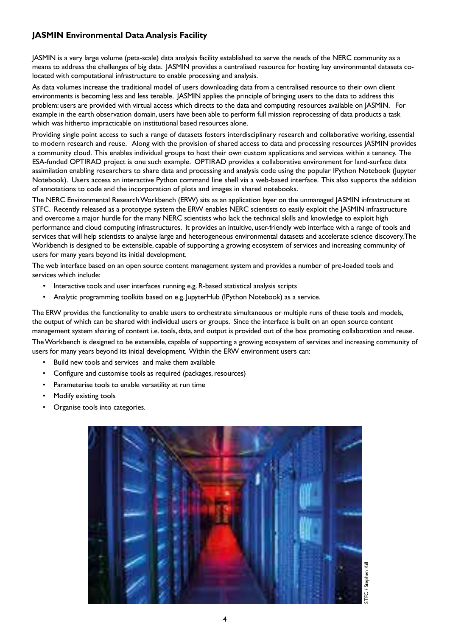# **JASMIN Environmental Data Analysis Facility**

JASMIN is a very large volume (peta-scale) data analysis facility established to serve the needs of the NERC community as a means to address the challenges of big data. JASMIN provides a centralised resource for hosting key environmental datasets colocated with computational infrastructure to enable processing and analysis.

As data volumes increase the traditional model of users downloading data from a centralised resource to their own client environments is becoming less and less tenable. JASMIN applies the principle of bringing users to the data to address this problem: users are provided with virtual access which directs to the data and computing resources available on JASMIN. For example in the earth observation domain, users have been able to perform full mission reprocessing of data products a task which was hitherto impracticable on institutional based resources alone.

Providing single point access to such a range of datasets fosters interdisciplinary research and collaborative working, essential to modern research and reuse. Along with the provision of shared access to data and processing resources JASMIN provides a community cloud. This enables individual groups to host their own custom applications and services within a tenancy. The ESA-funded OPTIRAD project is one such example. OPTIRAD provides a collaborative environment for land-surface data assimilation enabling researchers to share data and processing and analysis code using the popular IPython Notebook (Jupyter Notebook). Users access an interactive Python command line shell via a web-based interface. This also supports the addition of annotations to code and the incorporation of plots and images in shared notebooks.

The NERC Environmental Research Workbench (ERW) sits as an application layer on the unmanaged JASMIN infrastructure at STFC. Recently released as a prototype system the ERW enables NERC scientists to easily exploit the JASMIN infrastructure and overcome a major hurdle for the many NERC scientists who lack the technical skills and knowledge to exploit high performance and cloud computing infrastructures. It provides an intuitive, user-friendly web interface with a range of tools and services that will help scientists to analyse large and heterogeneous environmental datasets and accelerate science discovery. The Workbench is designed to be extensible, capable of supporting a growing ecosystem of services and increasing community of users for many years beyond its initial development.

The web interface based on an open source content management system and provides a number of pre-loaded tools and services which include:

- Interactive tools and user interfaces running e.g. R-based statistical analysis scripts
- Analytic programming toolkits based on e.g. JupyterHub (IPython Notebook) as a service.

The ERW provides the functionality to enable users to orchestrate simultaneous or multiple runs of these tools and models, the output of which can be shared with individual users or groups. Since the interface is built on an open source content management system sharing of content i.e. tools, data, and output is provided out of the box promoting collaboration and reuse. The Workbench is designed to be extensible, capable of supporting a growing ecosystem of services and increasing community of users for many years beyond its initial development. Within the ERW environment users can:

- Build new tools and services and make them available
- Configure and customise tools as required (packages, resources)
- Parameterise tools to enable versatility at run time
- Modify existing tools
- Organise tools into categories.



FC / Stephen Kill STFC / Stephen Kill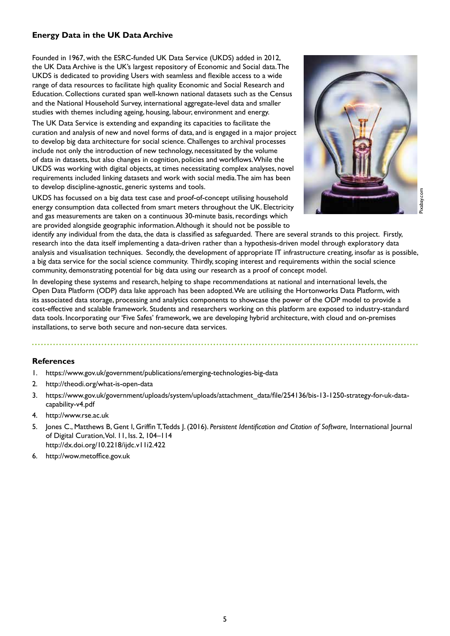# **Energy Data in the UK Data Archive**

Founded in 1967, with the ESRC-funded UK Data Service (UKDS) added in 2012, the UK Data Archive is the UK's largest repository of Economic and Social data. The UKDS is dedicated to providing Users with seamless and flexible access to a wide range of data resources to facilitate high quality Economic and Social Research and Education. Collections curated span well-known national datasets such as the Census and the National Household Survey, international aggregate-level data and smaller studies with themes including ageing, housing, labour, environment and energy.

The UK Data Service is extending and expanding its capacities to facilitate the curation and analysis of new and novel forms of data, and is engaged in a major project to develop big data architecture for social science. Challenges to archival processes include not only the introduction of new technology, necessitated by the volume of data in datasets, but also changes in cognition, policies and workflows. While the UKDS was working with digital objects, at times necessitating complex analyses, novel requirements included linking datasets and work with social media. The aim has been to develop discipline-agnostic, generic systems and tools.

UKDS has focussed on a big data test case and proof-of-concept utilising household energy consumption data collected from smart meters throughout the UK. Electricity and gas measurements are taken on a continuous 30-minute basis, recordings which are provided alongside geographic information. Although it should not be possible to



identify any individual from the data, the data is classified as safeguarded. There are several strands to this project. Firstly, research into the data itself implementing a data-driven rather than a hypothesis-driven model through exploratory data analysis and visualisation techniques. Secondly, the development of appropriate IT infrastructure creating, insofar as is possible, a big data service for the social science community. Thirdly, scoping interest and requirements within the social science community, demonstrating potential for big data using our research as a proof of concept model.

In developing these systems and research, helping to shape recommendations at national and international levels, the Open Data Platform (ODP) data lake approach has been adopted. We are utilising the Hortonworks Data Platform, with its associated data storage, processing and analytics components to showcase the power of the ODP model to provide a cost-effective and scalable framework. Students and researchers working on this platform are exposed to industry-standard data tools. Incorporating our 'Five Safes' framework, we are developing hybrid architecture, with cloud and on-premises installations, to serve both secure and non-secure data services.

# **References**

- 1. https://www.gov.uk/government/publications/emerging-technologies-big-data
- 2. http://theodi.org/what-is-open-data
- 3. https://www.gov.uk/government/uploads/system/uploads/attachment\_data/file/254136/bis-13-1250-strategy-for-uk-datacapability-v4.pdf
- 4. http://www.rse.ac.uk
- 5. Jones C., Matthews B, Gent I, Griffin T, Tedds J. (2016). *Persistent Identification and Citation of Software,* International Journal of Digital Curation, Vol. 11, Iss. 2, 104–114 http://dx.doi.org/10.2218/ijdc.v11i2.422
- 6. http://wow.metoffice.gov.uk